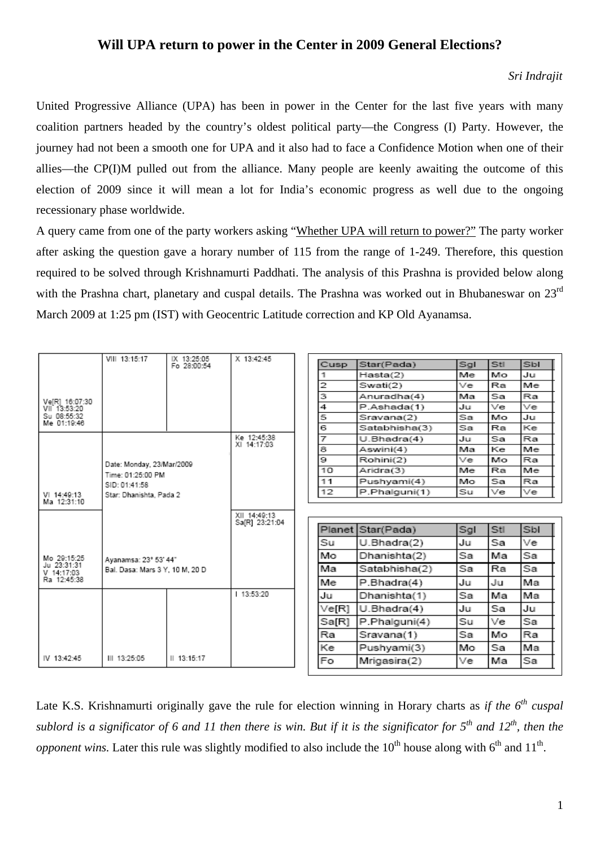## **Will UPA return to power in the Center in 2009 General Elections?**

## *Sri Indrajit*

United Progressive Alliance (UPA) has been in power in the Center for the last five years with many coalition partners headed by the country's oldest political party—the Congress (I) Party. However, the journey had not been a smooth one for UPA and it also had to face a Confidence Motion when one of their allies—the CP(I)M pulled out from the alliance. Many people are keenly awaiting the outcome of this election of 2009 since it will mean a lot for India's economic progress as well due to the ongoing recessionary phase worldwide.

A query came from one of the party workers asking "Whether UPA will return to power?" The party worker after asking the question gave a horary number of 115 from the range of 1-249. Therefore, this question required to be solved through Krishnamurti Paddhati. The analysis of this Prashna is provided below along with the Prashna chart, planetary and cuspal details. The Prashna was worked out in Bhubaneswar on 23<sup>rd</sup> March 2009 at 1:25 pm (IST) with Geocentric Latitude correction and KP Old Ayanamsa.

|                            | VIII 13:15:17                   | IX 13:25:05               | X 13:42:45                     |                |                    |     |     |                      |
|----------------------------|---------------------------------|---------------------------|--------------------------------|----------------|--------------------|-----|-----|----------------------|
|                            |                                 | Fo 28:00:54               |                                | Cusp           | Star(Pada)         | Sal | Stl | Sbl                  |
|                            |                                 |                           |                                | 1              | Hasta(2)           | Me  | Mo  | Ju                   |
|                            |                                 |                           |                                | $\overline{2}$ | Swati(2)           | Ve  | Ra  | Me                   |
| VelR1 16:07:30             |                                 |                           |                                | 3              | Anuradha(4)        | Mа  | Sa  | Ra                   |
| VII <sup>-</sup> 13:53:20  |                                 |                           |                                | 4              | P.Ashada(1)        | Ju  | Ve  | Ve                   |
| Su 08:55:32<br>Me 01:19:46 |                                 |                           |                                | 5              | Sravana(2)         | Sa  | Mo  | Ju                   |
|                            |                                 |                           |                                | 6              | Satabhisha(3)      | Sa  | Ra  | Ke                   |
|                            |                                 |                           | Ke 12.45:38<br>XI 14:17:03     | 7              | U.Bhadra(4)        | Ju  | Sa  | Ra                   |
|                            |                                 |                           |                                | 8              | Aswini(4)          | Ma  | Ke  | Me                   |
|                            |                                 | Date: Monday, 23/Mar/2009 |                                | 9              | Rohini(2)          | Ve  | Mo  | Ra                   |
|                            | Time: 01:25:00 PM               |                           |                                | 10             | Aridra(3)          | Me  | Ra  | Me                   |
|                            | SID: 01:41:58                   |                           |                                | 11             | Pushyami(4)        | Mo  | Sa  | Ra                   |
| VI 14:49:13                | Star: Dhanishta, Pada 2         |                           |                                | 12             | P.Phalguni(1)      | Su  | Ve  | Ve                   |
| Ma 12:31:10                |                                 |                           | XII 14 49:13<br>Sa[R] 23:21:04 |                |                    |     |     |                      |
|                            |                                 |                           |                                |                |                    |     |     |                      |
|                            |                                 |                           |                                |                | Planet Star (Pada) | Sgl | Stl |                      |
|                            |                                 |                           |                                | Su             | U.Bhadra(2)        | Ju  | Sa  |                      |
| Mo 29:15:25                | Avanamsa: 23° 53' 44"           |                           |                                | Mo             | Dhanishta(2)       | Sa  | Ма  | Sbl<br>Ve<br>Sa      |
| Ju 23:31:31<br>V 14:17:03  | Bal. Dasa: Mars 3 Y. 10 M. 20 D |                           |                                | Мa             | Satabhisha(2)      | Sa  | Ra  | Sa                   |
| Ra 12:45:38                |                                 |                           |                                | Me             | P.Bhadra(4)        | Ju  | Ju  | Ма                   |
|                            |                                 |                           | 13:53:20                       | Ju             | Dhanishta(1)       | Sa  | Ма  |                      |
|                            |                                 |                           |                                | Ve[R]          | U.Bhadra(4)        | Ju  | Sa  |                      |
|                            |                                 |                           |                                | Sa[R]          | P.Phalguni(4)      | Su  | Ve  |                      |
|                            |                                 |                           |                                | Ra             | Sravana(1)         | Sa  | Мо  | Ma<br>Ju<br>Sa<br>Ra |
| IV 13:42:45                | III 13:25:05                    | 13:15:17                  |                                | Кe             | Pushyami(3)        | Mo  | Sa  | Ма                   |

Late K.S. Krishnamurti originally gave the rule for election winning in Horary charts as *if the 6<sup>th</sup> cuspal sublord is a significator of 6 and 11 then there is win. But if it is the significator for 5th and 12th, then the opponent wins.* Later this rule was slightly modified to also include the  $10^{th}$  house along with  $6^{th}$  and  $11^{th}$ .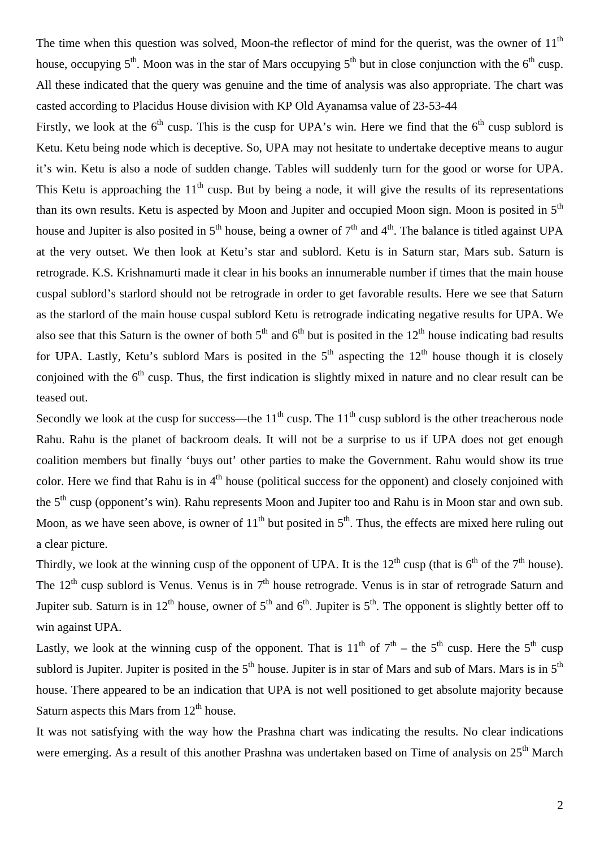The time when this question was solved, Moon-the reflector of mind for the querist, was the owner of  $11<sup>th</sup>$ house, occupying  $5<sup>th</sup>$ . Moon was in the star of Mars occupying  $5<sup>th</sup>$  but in close conjunction with the  $6<sup>th</sup>$  cusp. All these indicated that the query was genuine and the time of analysis was also appropriate. The chart was casted according to Placidus House division with KP Old Ayanamsa value of 23-53-44

Firstly, we look at the  $6<sup>th</sup>$  cusp. This is the cusp for UPA's win. Here we find that the  $6<sup>th</sup>$  cusp sublord is Ketu. Ketu being node which is deceptive. So, UPA may not hesitate to undertake deceptive means to augur it's win. Ketu is also a node of sudden change. Tables will suddenly turn for the good or worse for UPA. This Ketu is approaching the  $11<sup>th</sup>$  cusp. But by being a node, it will give the results of its representations than its own results. Ketu is aspected by Moon and Jupiter and occupied Moon sign. Moon is posited in  $5<sup>th</sup>$ house and Jupiter is also posited in  $5<sup>th</sup>$  house, being a owner of  $7<sup>th</sup>$  and  $4<sup>th</sup>$ . The balance is titled against UPA at the very outset. We then look at Ketu's star and sublord. Ketu is in Saturn star, Mars sub. Saturn is retrograde. K.S. Krishnamurti made it clear in his books an innumerable number if times that the main house cuspal sublord's starlord should not be retrograde in order to get favorable results. Here we see that Saturn as the starlord of the main house cuspal sublord Ketu is retrograde indicating negative results for UPA. We also see that this Saturn is the owner of both  $5<sup>th</sup>$  and  $6<sup>th</sup>$  but is posited in the  $12<sup>th</sup>$  house indicating bad results for UPA. Lastly, Ketu's sublord Mars is posited in the  $5<sup>th</sup>$  aspecting the  $12<sup>th</sup>$  house though it is closely conjoined with the 6<sup>th</sup> cusp. Thus, the first indication is slightly mixed in nature and no clear result can be teased out.

Secondly we look at the cusp for success—the  $11<sup>th</sup>$  cusp. The  $11<sup>th</sup>$  cusp sublord is the other treacherous node Rahu. Rahu is the planet of backroom deals. It will not be a surprise to us if UPA does not get enough coalition members but finally 'buys out' other parties to make the Government. Rahu would show its true color. Here we find that Rahu is in  $4<sup>th</sup>$  house (political success for the opponent) and closely conjoined with the 5<sup>th</sup> cusp (opponent's win). Rahu represents Moon and Jupiter too and Rahu is in Moon star and own sub. Moon, as we have seen above, is owner of  $11<sup>th</sup>$  but posited in  $5<sup>th</sup>$ . Thus, the effects are mixed here ruling out a clear picture.

Thirdly, we look at the winning cusp of the opponent of UPA. It is the  $12^{th}$  cusp (that is  $6^{th}$  of the  $7^{th}$  house). The  $12<sup>th</sup>$  cusp sublord is Venus. Venus is in  $7<sup>th</sup>$  house retrograde. Venus is in star of retrograde Saturn and Jupiter sub. Saturn is in 12<sup>th</sup> house, owner of 5<sup>th</sup> and 6<sup>th</sup>. Jupiter is 5<sup>th</sup>. The opponent is slightly better off to win against UPA.

Lastly, we look at the winning cusp of the opponent. That is  $11^{th}$  of  $7^{th}$  – the  $5^{th}$  cusp. Here the  $5^{th}$  cusp sublord is Jupiter. Jupiter is posited in the  $5<sup>th</sup>$  house. Jupiter is in star of Mars and sub of Mars. Mars is in  $5<sup>th</sup>$ house. There appeared to be an indication that UPA is not well positioned to get absolute majority because Saturn aspects this Mars from  $12<sup>th</sup>$  house.

It was not satisfying with the way how the Prashna chart was indicating the results. No clear indications were emerging. As a result of this another Prashna was undertaken based on Time of analysis on  $25<sup>th</sup>$  March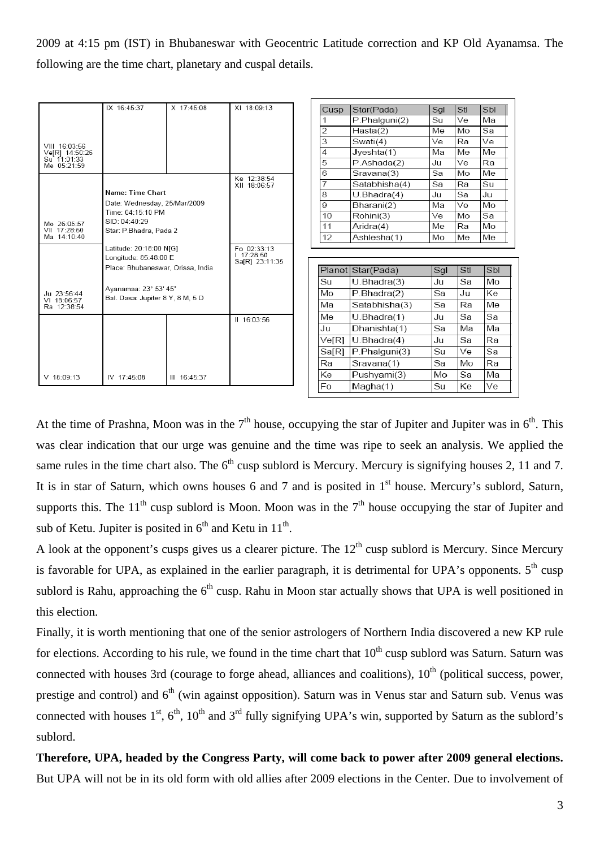2009 at 4:15 pm (IST) in Bhubaneswar with Geocentric Latitude correction and KP Old Ayanamsa. The following are the time chart, planetary and cuspal details.

|                                            | IX 16:45:37                                                                                                      | X 17:45:08   | XI 18:09:13                | Cusp           | Star(Pada)        | Sgl      | Stl          | Sbl        |
|--------------------------------------------|------------------------------------------------------------------------------------------------------------------|--------------|----------------------------|----------------|-------------------|----------|--------------|------------|
|                                            |                                                                                                                  |              |                            | 1              | P.Phalguni(2)     | Su       | Ve           | Мa         |
|                                            |                                                                                                                  |              |                            | $\overline{2}$ | Hasta(2)          | Me       | Mo           | Sa         |
| VIII 16:03:56                              |                                                                                                                  |              |                            | 3              | Swati(4)          | Ve       | Ra           | Ve         |
| Ve[R] 14:50:26                             |                                                                                                                  |              |                            | 4              | Jveshta(1)        | Ma       | Me           | Me         |
| Su 11:01:33<br>Me 05:21:59                 |                                                                                                                  |              |                            | 5              | P.Ashada(2)       | Ju       | Ve           | Ra         |
|                                            |                                                                                                                  |              | Ke 12:38:54                | 6              | Sravana(3)        | Sa       | Mo           | Me         |
|                                            |                                                                                                                  |              | XII 18:06:57               | 7              | Satabhisha(4)     | Sa       | Ra           | Su         |
|                                            | Name: Time Chart<br>Date: Wednesday, 25/Mar/2009<br>Time: 04:15:10 PM<br>SID: 04:40:29<br>Star: P.Bhadra, Pada 2 |              |                            | 8              | U.Bhadra(4)       | Ju       | Sa           | Ju         |
|                                            |                                                                                                                  |              |                            | 9              | Bharani(2)        | Мa       | Ve           | Mo         |
| Mo 26:05:57<br>VII 17:28:50<br>Ma 14:10:40 |                                                                                                                  |              |                            | 10             | Rohini(3)         | Ve       | Mo           | Sa         |
|                                            |                                                                                                                  |              |                            | 11             | Aridra(4)         | Me       | Ra           | Mo         |
|                                            |                                                                                                                  |              |                            | 12             | Ashlesha(1)       | Mo       | Me           | Me         |
|                                            | Latitude: 20:18:00 N[G]                                                                                          |              | Fo 02:33:13                |                |                   |          |              |            |
|                                            | Longitude: 85:48:00 E                                                                                            |              | 17:28:50<br>Sa[R] 23:11:35 |                |                   |          |              |            |
|                                            | Place: Bhubaneswar, Orissa, India                                                                                |              |                            |                | Planet Star(Pada) | Sgl      | Stl          | Sbl        |
|                                            | Ayanamsa: 23° 53' 45"<br>Bal. Dasa: Jupiter 8 Y, 8 M, 5 D                                                        |              |                            | Su             | U.Bhadra(3)       | Ju       | Sa           | Mo         |
| Ju 23:56:44<br>VI 18:06:57<br>Ra 12:38:54  |                                                                                                                  |              |                            | Mo             | P.Bhadra(2)       | Sa       | Ju           | Ke         |
|                                            |                                                                                                                  |              |                            | Ma             | Satabhisha(3)     | Sa       | Ra           | Мe         |
|                                            |                                                                                                                  |              | II 16:03:56                | Me             | U.Bhadra(1)       | Ju       | Sa           | Sa         |
|                                            |                                                                                                                  |              |                            | Ju             | Dhanishta(1)      | Sa       | Мa           | Ma         |
|                                            |                                                                                                                  |              |                            | Ve[R]          | U.Bhadra(4)       | Ju       | Sa           | Ra         |
|                                            |                                                                                                                  |              |                            | Sa[R]          | P.Phalguni(3)     | Su       | Ve           | Sa         |
|                                            |                                                                                                                  |              |                            | Ra             | Sravana(1)        | Sa       | Mo           | Ra         |
| $V$ 18:09:13                               | IV 17:45:08                                                                                                      | III 16:45:37 |                            | Ke             | Pushyami(3)       | Mo       | Sa           | Мa         |
|                                            |                                                                                                                  |              |                            | $E_{\Omega}$   | $M$ acha $(1)$    | $C_{11}$ | $K_{\Omega}$ | $\sqrt{2}$ |

At the time of Prashna, Moon was in the  $7<sup>th</sup>$  house, occupying the star of Jupiter and Jupiter was in  $6<sup>th</sup>$ . This was clear indication that our urge was genuine and the time was ripe to seek an analysis. We applied the same rules in the time chart also. The  $6<sup>th</sup>$  cusp sublord is Mercury. Mercury is signifying houses 2, 11 and 7. It is in star of Saturn, which owns houses 6 and 7 and is posited in  $1<sup>st</sup>$  house. Mercury's sublord, Saturn, supports this. The  $11<sup>th</sup>$  cusp sublord is Moon. Moon was in the  $7<sup>th</sup>$  house occupying the star of Jupiter and sub of Ketu. Jupiter is posited in  $6<sup>th</sup>$  and Ketu in  $11<sup>th</sup>$ .

A look at the opponent's cusps gives us a clearer picture. The  $12<sup>th</sup>$  cusp sublord is Mercury. Since Mercury is favorable for UPA, as explained in the earlier paragraph, it is detrimental for UPA's opponents.  $5<sup>th</sup>$  cusp sublord is Rahu, approaching the  $6<sup>th</sup>$  cusp. Rahu in Moon star actually shows that UPA is well positioned in this election.

Finally, it is worth mentioning that one of the senior astrologers of Northern India discovered a new KP rule for elections. According to his rule, we found in the time chart that  $10<sup>th</sup>$  cusp sublord was Saturn. Saturn was connected with houses 3rd (courage to forge ahead, alliances and coalitions),  $10<sup>th</sup>$  (political success, power, prestige and control) and  $6<sup>th</sup>$  (win against opposition). Saturn was in Venus star and Saturn sub. Venus was connected with houses  $1^{st}$ ,  $6^{th}$ ,  $10^{th}$  and  $3^{rd}$  fully signifying UPA's win, supported by Saturn as the sublord's sublord.

**Therefore, UPA, headed by the Congress Party, will come back to power after 2009 general elections.** But UPA will not be in its old form with old allies after 2009 elections in the Center. Due to involvement of